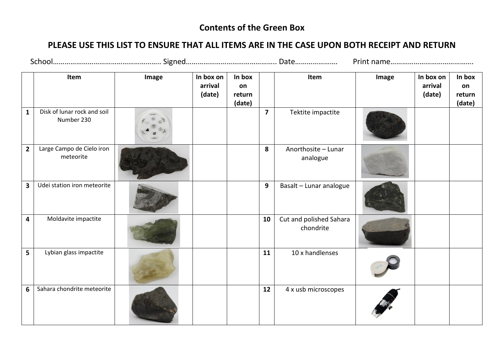## **Contents of the Green Box**

## **PLEASE USE THIS LIST TO ENSURE THAT ALL ITEMS ARE IN THE CASE UPON BOTH RECEIPT AND RETURN**

|                         | Item                                      | Image | In box on<br>arrival<br>(date) | In box<br>on<br>return<br>(date) |                | Item                                 | Image | In box on<br>arrival<br>(date) | In box<br>on<br>return<br>(date) |
|-------------------------|-------------------------------------------|-------|--------------------------------|----------------------------------|----------------|--------------------------------------|-------|--------------------------------|----------------------------------|
| $\mathbf{1}$            | Disk of lunar rock and soil<br>Number 230 |       |                                |                                  | $\overline{7}$ | Tektite impactite                    |       |                                |                                  |
| $\overline{2}$          | Large Campo de Cielo iron<br>meteorite    |       |                                |                                  | 8              | Anorthosite - Lunar<br>analogue      |       |                                |                                  |
| $\overline{\mathbf{3}}$ | Udei station iron meteorite               |       |                                |                                  | 9              | Basalt - Lunar analogue              |       |                                |                                  |
| $\overline{4}$          | Moldavite impactite                       |       |                                |                                  | 10             | Cut and polished Sahara<br>chondrite |       |                                |                                  |
| 5                       | Lybian glass impactite                    |       |                                |                                  | 11             | 10 x handlenses                      |       |                                |                                  |
| 6                       | Sahara chondrite meteorite                |       |                                |                                  | 12             | 4 x usb microscopes                  |       |                                |                                  |